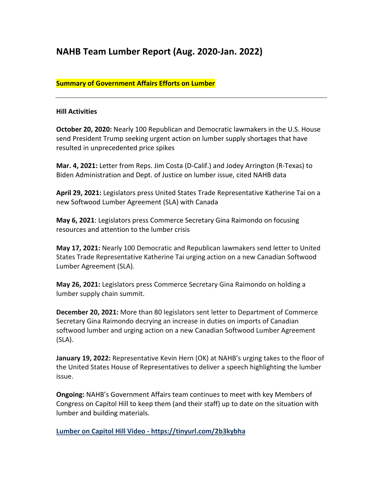# **NAHB Team Lumber Report (Aug. 2020-Jan. 2022)**

#### **Summary of Government Affairs Efforts on Lumber**

#### **Hill Activities**

**October 20, 2020:** Nearly 100 Republican and Democratic lawmakers in the U.S. House send President Trump seeking urgent action on lumber supply shortages that have resulted in unprecedented price spikes

**Mar. 4, 2021:** Letter from Reps. Jim Costa (D-Calif.) and Jodey Arrington (R-Texas) to Biden Administration and Dept. of Justice on lumber issue, cited NAHB data

**April 29, 2021:** Legislators press United States Trade Representative Katherine Tai on a new Softwood Lumber Agreement (SLA) with Canada

**May 6, 2021**: Legislators press Commerce Secretary Gina Raimondo on focusing resources and attention to the lumber crisis

**May 17, 2021:** Nearly 100 Democratic and Republican lawmakers send letter to United States Trade Representative Katherine Tai urging action on a new Canadian Softwood Lumber Agreement (SLA).

**May 26, 2021:** Legislators press Commerce Secretary Gina Raimondo on holding a lumber supply chain summit.

**December 20, 2021:** More than 80 legislators sent letter to Department of Commerce Secretary Gina Raimondo decrying an increase in duties on imports of Canadian softwood lumber and urging action on a new Canadian Softwood Lumber Agreement (SLA).

**January 19, 2022:** Representative Kevin Hern (OK) at NAHB's urging takes to the floor of the United States House of Representatives to deliver a speech highlighting the lumber issue.

**Ongoing:** NAHB's Government Affairs team continues to meet with key Members of Congress on Capitol Hill to keep them (and their staff) up to date on the situation with lumber and building materials.

**Lumber on Capitol Hill Video - https://tinyurl.com/2b3kybha**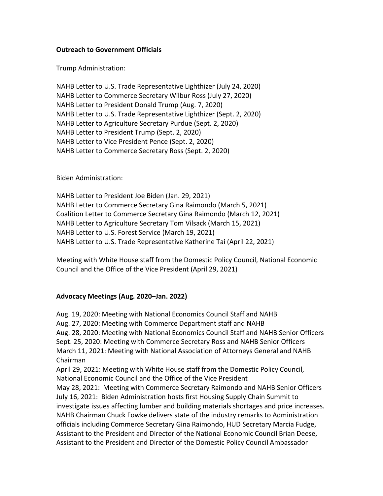#### **Outreach to Government Officials**

Trump Administration:

NAHB Letter to U.S. Trade Representative Lighthizer (July 24, 2020) NAHB Letter to Commerce Secretary Wilbur Ross (July 27, 2020) NAHB Letter to President Donald Trump (Aug. 7, 2020) NAHB Letter to U.S. Trade Representative Lighthizer (Sept. 2, 2020) NAHB Letter to Agriculture Secretary Purdue (Sept. 2, 2020) NAHB Letter to President Trump (Sept. 2, 2020) NAHB Letter to Vice President Pence (Sept. 2, 2020) NAHB Letter to Commerce Secretary Ross (Sept. 2, 2020)

Biden Administration:

NAHB Letter to President Joe Biden (Jan. 29, 2021) NAHB Letter to Commerce Secretary Gina Raimondo (March 5, 2021) Coalition Letter to Commerce Secretary Gina Raimondo (March 12, 2021) NAHB Letter to Agriculture Secretary Tom Vilsack (March 15, 2021) NAHB Letter to U.S. Forest Service (March 19, 2021) NAHB Letter to U.S. Trade Representative Katherine Tai (April 22, 2021)

Meeting with White House staff from the Domestic Policy Council, National Economic Council and the Office of the Vice President (April 29, 2021)

#### **Advocacy Meetings (Aug. 2020–Jan. 2022)**

Aug. 19, 2020: Meeting with National Economics Council Staff and NAHB Aug. 27, 2020: Meeting with Commerce Department staff and NAHB Aug. 28, 2020: Meeting with National Economics Council Staff and NAHB Senior Officers Sept. 25, 2020: Meeting with Commerce Secretary Ross and NAHB Senior Officers March 11, 2021: Meeting with National Association of Attorneys General and NAHB Chairman April 29, 2021: Meeting with White House staff from the Domestic Policy Council, National Economic Council and the Office of the Vice President

May 28, 2021: Meeting with Commerce Secretary Raimondo and NAHB Senior Officers July 16, 2021: Biden Administration hosts first Housing Supply Chain Summit to investigate issues affecting lumber and building materials shortages and price increases. NAHB Chairman Chuck Fowke delivers state of the industry remarks to Administration officials including Commerce Secretary Gina Raimondo, HUD Secretary Marcia Fudge, Assistant to the President and Director of the National Economic Council Brian Deese, Assistant to the President and Director of the Domestic Policy Council Ambassador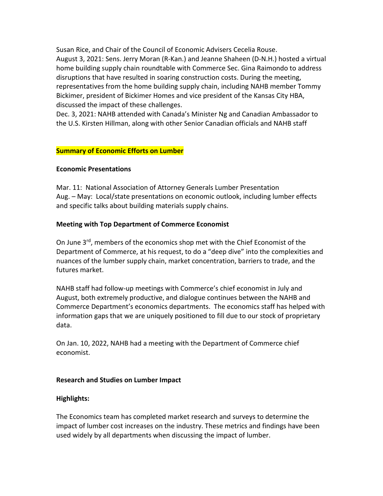Susan Rice, and Chair of the Council of Economic Advisers Cecelia Rouse. August 3, 2021: Sens. Jerry Moran (R-Kan.) and Jeanne Shaheen (D-N.H.) hosted a virtual home building supply chain roundtable with Commerce Sec. Gina Raimondo to address disruptions that have resulted in soaring construction costs. During the meeting, representatives from the home building supply chain, including NAHB member Tommy Bickimer, president of Bickimer Homes and vice president of the Kansas City HBA, discussed the impact of these challenges.

Dec. 3, 2021: NAHB attended with Canada's Minister Ng and Canadian Ambassador to the U.S. Kirsten Hillman, along with other Senior Canadian officials and NAHB staff

#### **Summary of Economic Efforts on Lumber**

#### **Economic Presentations**

Mar. 11: National Association of Attorney Generals Lumber Presentation Aug. – May: Local/state presentations on economic outlook, including lumber effects and specific talks about building materials supply chains.

#### **Meeting with Top Department of Commerce Economist**

On June 3<sup>rd</sup>, members of the economics shop met with the Chief Economist of the Department of Commerce, at his request, to do a "deep dive" into the complexities and nuances of the lumber supply chain, market concentration, barriers to trade, and the futures market.

NAHB staff had follow-up meetings with Commerce's chief economist in July and August, both extremely productive, and dialogue continues between the NAHB and Commerce Department's economics departments. The economics staff has helped with information gaps that we are uniquely positioned to fill due to our stock of proprietary data.

On Jan. 10, 2022, NAHB had a meeting with the Department of Commerce chief economist.

#### **Research and Studies on Lumber Impact**

#### **Highlights:**

The Economics team has completed market research and surveys to determine the impact of lumber cost increases on the industry. These metrics and findings have been used widely by all departments when discussing the impact of lumber.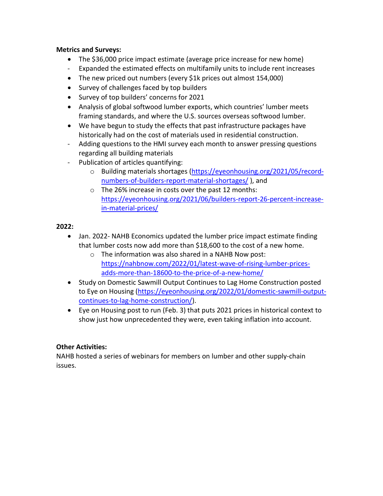#### **Metrics and Surveys:**

- The \$36,000 price impact estimate (average price increase for new home)
- Expanded the estimated effects on multifamily units to include rent increases
- The new priced out numbers (every \$1k prices out almost 154,000)
- Survey of challenges faced by top builders
- Survey of top builders' concerns for 2021
- Analysis of global softwood lumber exports, which countries' lumber meets framing standards, and where the U.S. sources overseas softwood lumber.
- We have begun to study the effects that past infrastructure packages have historically had on the cost of materials used in residential construction.
- Adding questions to the HMI survey each month to answer pressing questions regarding all building materials
- Publication of articles quantifying:
	- o Building materials shortages [\(https://eyeonhousing.org/2021/05/record](https://eyeonhousing.org/2021/05/record-numbers-of-builders-report-material-shortages/)[numbers-of-builders-report-material-shortages/](https://eyeonhousing.org/2021/05/record-numbers-of-builders-report-material-shortages/) ), and
	- o The 26% increase in costs over the past 12 months: [https://eyeonhousing.org/2021/06/builders-report-26-percent-increase](https://eyeonhousing.org/2021/06/builders-report-26-percent-increase-in-material-prices/)[in-material-prices/](https://eyeonhousing.org/2021/06/builders-report-26-percent-increase-in-material-prices/)

# **2022:**

- Jan. 2022- NAHB Economics updated the lumber price impact estimate finding that lumber costs now add more than \$18,600 to the cost of a new home.
	- o The information was also shared in a NAHB Now post: [https://nahbnow.com/2022/01/latest-wave-of-rising-lumber-prices](https://nahbnow.com/2022/01/latest-wave-of-rising-lumber-prices-adds-more-than-18600-to-the-price-of-a-new-home/)[adds-more-than-18600-to-the-price-of-a-new-home/](https://nahbnow.com/2022/01/latest-wave-of-rising-lumber-prices-adds-more-than-18600-to-the-price-of-a-new-home/)
- Study on Domestic Sawmill Output Continues to Lag Home Construction posted to Eye on Housing [\(https://eyeonhousing.org/2022/01/domestic-sawmill-output](https://eyeonhousing.org/2022/01/domestic-sawmill-output-continues-to-lag-home-construction/)[continues-to-lag-home-construction/\)](https://eyeonhousing.org/2022/01/domestic-sawmill-output-continues-to-lag-home-construction/).
- Eye on Housing post to run (Feb. 3) that puts 2021 prices in historical context to show just how unprecedented they were, even taking inflation into account.

# **Other Activities:**

NAHB hosted a series of webinars for members on lumber and other supply-chain issues.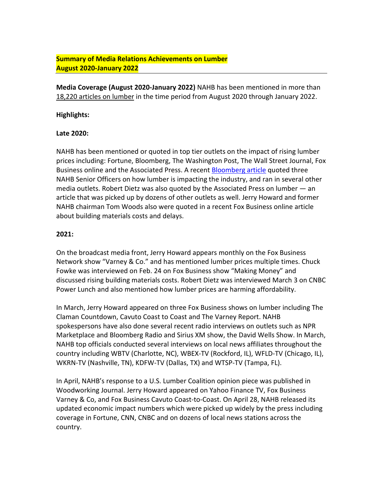# **Summary of Media Relations Achievements on Lumber August 2020-January 2022**

**Media Coverage (August 2020-January 2022)** NAHB has been mentioned in more than 18,220 articles on lumber in the time period from August 2020 through January 2022.

#### **Highlights:**

#### **Late 2020:**

NAHB has been mentioned or quoted in top tier outlets on the impact of rising lumber prices including: Fortune, Bloomberg, The Washington Post, The Wall Street Journal, Fox Business online and the Associated Press. A recent [Bloomberg article](https://www.bloomberg.com/news/articles/2021-02-12/u-s-home-builders-urge-biden-to-help-slow-housing-inflation) quoted three NAHB Senior Officers on how lumber is impacting the industry, and ran in several other media outlets. Robert Dietz was also quoted by the Associated Press on lumber — an article that was picked up by dozens of other outlets as well. Jerry Howard and former NAHB chairman Tom Woods also were quoted in a recent Fox Business online article about building materials costs and delays.

#### **2021:**

On the broadcast media front, Jerry Howard appears monthly on the Fox Business Network show "Varney & Co." and has mentioned lumber prices multiple times. Chuck Fowke was interviewed on Feb. 24 on Fox Business show "Making Money" and discussed rising building materials costs. Robert Dietz was interviewed March 3 on CNBC Power Lunch and also mentioned how lumber prices are harming affordability.

In March, Jerry Howard appeared on three Fox Business shows on lumber including The Claman Countdown, Cavuto Coast to Coast and The Varney Report. NAHB spokespersons have also done several recent radio interviews on outlets such as NPR Marketplace and Bloomberg Radio and Sirius XM show, the David Wells Show. In March, NAHB top officials conducted several interviews on local news affiliates throughout the country including WBTV (Charlotte, NC), WBEX-TV (Rockford, IL), WFLD-TV (Chicago, IL), WKRN-TV (Nashville, TN), KDFW-TV (Dallas, TX) and WTSP-TV (Tampa, FL).

In April, NAHB's response to a U.S. Lumber Coalition opinion piece was published in Woodworking Journal. Jerry Howard appeared on Yahoo Finance TV, Fox Business Varney & Co, and Fox Business Cavuto Coast-to-Coast. On April 28, NAHB released its updated economic impact numbers which were picked up widely by the press including coverage in Fortune, CNN, CNBC and on dozens of local news stations across the country.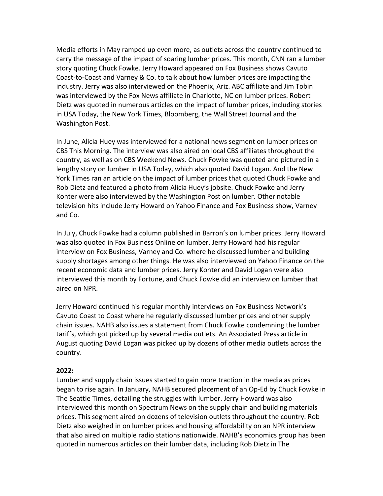Media efforts in May ramped up even more, as outlets across the country continued to carry the message of the impact of soaring lumber prices. This month, CNN ran a lumber story quoting Chuck Fowke. Jerry Howard appeared on Fox Business shows Cavuto Coast-to-Coast and Varney & Co. to talk about how lumber prices are impacting the industry. Jerry was also interviewed on the Phoenix, Ariz. ABC affiliate and Jim Tobin was interviewed by the Fox News affiliate in Charlotte, NC on lumber prices. Robert Dietz was quoted in numerous articles on the impact of lumber prices, including stories in USA Today, the New York Times, Bloomberg, the Wall Street Journal and the Washington Post.

In June, Alicia Huey was interviewed for a national news segment on lumber prices on CBS This Morning. The interview was also aired on local CBS affiliates throughout the country, as well as on CBS Weekend News. Chuck Fowke was quoted and pictured in a lengthy story on lumber in USA Today, which also quoted David Logan. And the New York Times ran an article on the impact of lumber prices that quoted Chuck Fowke and Rob Dietz and featured a photo from Alicia Huey's jobsite. Chuck Fowke and Jerry Konter were also interviewed by the Washington Post on lumber. Other notable television hits include Jerry Howard on Yahoo Finance and Fox Business show, Varney and Co.

In July, Chuck Fowke had a column published in Barron's on lumber prices. Jerry Howard was also quoted in Fox Business Online on lumber. Jerry Howard had his regular interview on Fox Business, Varney and Co. where he discussed lumber and building supply shortages among other things. He was also interviewed on Yahoo Finance on the recent economic data and lumber prices. Jerry Konter and David Logan were also interviewed this month by Fortune, and Chuck Fowke did an interview on lumber that aired on NPR.

Jerry Howard continued his regular monthly interviews on Fox Business Network's Cavuto Coast to Coast where he regularly discussed lumber prices and other supply chain issues. NAHB also issues a statement from Chuck Fowke condemning the lumber tariffs, which got picked up by several media outlets. An Associated Press article in August quoting David Logan was picked up by dozens of other media outlets across the country.

#### **2022:**

Lumber and supply chain issues started to gain more traction in the media as prices began to rise again. In January, NAHB secured placement of an Op-Ed by Chuck Fowke in The Seattle Times, detailing the struggles with lumber. Jerry Howard was also interviewed this month on Spectrum News on the supply chain and building materials prices. This segment aired on dozens of television outlets throughout the country. Rob Dietz also weighed in on lumber prices and housing affordability on an NPR interview that also aired on multiple radio stations nationwide. NAHB's economics group has been quoted in numerous articles on their lumber data, including Rob Dietz in The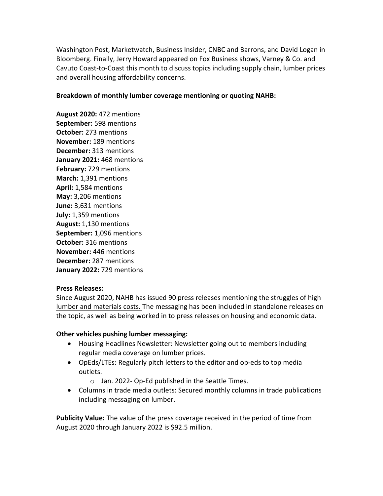Washington Post, Marketwatch, Business Insider, CNBC and Barrons, and David Logan in Bloomberg. Finally, Jerry Howard appeared on Fox Business shows, Varney & Co. and Cavuto Coast-to-Coast this month to discuss topics including supply chain, lumber prices and overall housing affordability concerns.

#### **Breakdown of monthly lumber coverage mentioning or quoting NAHB:**

**August 2020:** 472 mentions **September:** 598 mentions **October:** 273 mentions **November:** 189 mentions **December:** 313 mentions **January 2021:** 468 mentions **February:** 729 mentions **March:** 1,391 mentions **April:** 1,584 mentions **May:** 3,206 mentions **June:** 3,631 mentions **July:** 1,359 mentions **August:** 1,130 mentions **September:** 1,096 mentions **October:** 316 mentions **November:** 446 mentions **December:** 287 mentions **January 2022:** 729 mentions

#### **Press Releases:**

Since August 2020, NAHB has issued 90 press releases mentioning the struggles of high lumber and materials costs. The messaging has been included in standalone releases on the topic, as well as being worked in to press releases on housing and economic data.

#### **Other vehicles pushing lumber messaging:**

- Housing Headlines Newsletter: Newsletter going out to members including regular media coverage on lumber prices.
- OpEds/LTEs: Regularly pitch letters to the editor and op-eds to top media outlets.
	- o Jan. 2022- Op-Ed published in the Seattle Times.
- Columns in trade media outlets: Secured monthly columns in trade publications including messaging on lumber.

**Publicity Value:** The value of the press coverage received in the period of time from August 2020 through January 2022 is \$92.5 million.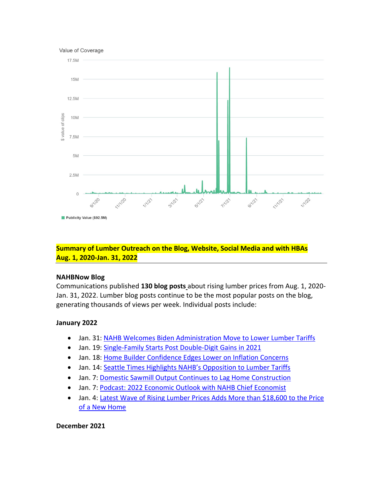



# **Summary of Lumber Outreach on the Blog, Website, Social Media and with HBAs Aug. 1, 2020-Jan. 31, 2022**

#### **NAHBNow Blog**

Communications published **130 blog posts** about rising lumber prices from Aug. 1, 2020- Jan. 31, 2022. Lumber blog posts continue to be the most popular posts on the blog, generating thousands of views per week. Individual posts include:

#### **January 2022**

- Jan. 31[: NAHB Welcomes Biden Administration Move to Lower Lumber](https://nahbnow.com/2022/01/nahb-welcomes-biden-administration-move-to-lower-lumber-tariffs/) Tariffs
- Jan. 19[: Single-Family Starts Post Double-Digit Gains in 2021](https://nahbnow.com/2022/01/single-family-starts-post-double-digit-percentage-gain-in-2021/)
- Jan. 18[: Home Builder Confidence Edges Lower on Inflation Concerns](https://nahbnow.com/2022/01/builder-confidence-edges-lower-on-inflation-concerns/)
- Jan. 14[: Seattle Times Highlights NAHB's Opposition to Lumber Tariffs](https://nahbnow.com/2022/01/seattle-times-highlights-nahbs-opposition-to-lumber-tariffs/)
- Jan. 7[: Domestic Sawmill Output Continues to Lag Home Construction](https://nahbnow.com/2022/01/domestic-sawmill-output-continues-to-lag-home-construction/)
- Jan. 7[: Podcast: 2022 Economic Outlook with NAHB Chief Economist](https://nahbnow.com/2022/01/podcast-2022-economic-outlook-with-nahb-chief-economist/)
- Jan. 4: Latest Wave of Rising Lumber Prices Adds More than \$18,600 to the Price [of a New Home](https://nahbnow.com/2022/01/latest-wave-of-rising-lumber-prices-adds-more-than-18600-to-the-price-of-a-new-home/)

#### **December 2021**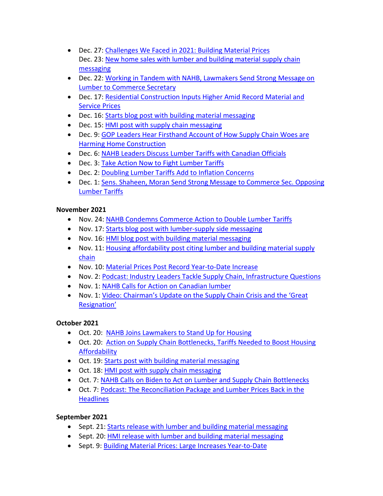- Dec. 27: [Challenges We Faced in 2021: Building Material Prices](https://nahbnow.com/2021/12/top-priorities-of-2021-building-materials-prices/) Dec. 23: [New home sales with lumber and building material supply chain](https://nahbnow.com/2021/12/new-home-sales-jump-in-november-on-high-consumer-demand/)  [messaging](https://nahbnow.com/2021/12/new-home-sales-jump-in-november-on-high-consumer-demand/)
- Dec. 22: [Working in Tandem with NAHB, Lawmakers Send Strong Message on](https://nahbnow.com/2021/12/working-in-tandem-with-nahb-lawmakers-send-a-strong-message-to-commerce-secretary-on-lumber-duties/)  [Lumber to Commerce Secretary](https://nahbnow.com/2021/12/working-in-tandem-with-nahb-lawmakers-send-a-strong-message-to-commerce-secretary-on-lumber-duties/)
- Dec. 17: [Residential Construction Inputs Higher Amid Record Material and](https://nahbnow.com/2021/12/residential-construction-inputs-higher-amid-record-material-and-service-prices/)  [Service Prices](https://nahbnow.com/2021/12/residential-construction-inputs-higher-amid-record-material-and-service-prices/)
- Dec. 16: [Starts blog post with building material messaging](https://nahbnow.com/2021/12/double-digit-gains-for-single-family-and-multifamily-production-in-november/)
- Dec. 15: [HMI post with supply chain messaging](https://nahbnow.com/2021/12/builder-sentiment-strong-at-years-end/)
- Dec. 9: [GOP Leaders Hear Firsthand Account of How Supply Chain Woes are](https://nahbnow.com/2021/12/gop-lawmakers-hear-firsthand-account-on-how-supply-chain-woes-delay-home-construction/)  [Harming Home Construction](https://nahbnow.com/2021/12/gop-lawmakers-hear-firsthand-account-on-how-supply-chain-woes-delay-home-construction/)
- Dec. 6: [NAHB Leaders Discuss Lumber Tariffs with Canadian Officials](https://nahbnow.com/2021/12/nahb-leaders-discuss-lumber-tariffs-with-canadian-officials/)
- Dec. 3: [Take Action Now to Fight Lumber Tariffs](https://nahbnow.com/2021/12/take-action-now-to-fight-the-new-lumber-tariffs/)
- Dec. 2: [Doubling Lumber Tariffs Add to Inflation Concerns](https://nahbnow.com/2021/12/doubling-lumber-tariffs-ongoing-labor-shortages-add-to-inflation-concerns/)
- Dec. 1: Sens. Shaheen, Moran Send Strong Message to Commerce Sec. Opposing [Lumber Tariffs](https://nahbnow.com/2021/12/sens-shaheen-moran-send-strong-message-to-commerce-secretary-opposing-lumber-tariffs/)

# **November 2021**

- Nov. 24: [NAHB Condemns Commerce Action to Double Lumber Tariffs](https://nahbnow.com/2021/11/nahb-condemns-commerce-action-to-double-tariffs-on-canadian-lumber/)
- Nov. 17: [Starts blog post with lumber-supply side messaging](https://nahbnow.com/2021/11/supply-side-disruptions-push-single-family-production-down-in-october/)
- Nov. 16: [HMI blog post with building material messaging](https://nahbnow.com/2021/11/builder-confidence-up-on-strong-demand-even-as-supply-side-challenges-persist/)
- Nov. 11: [Housing affordability post citing lumber and building material supply](https://nahbnow.com/2021/11/housing-affordability-holds-steady-but-supply-side-challenges-persist/)  [chain](https://nahbnow.com/2021/11/housing-affordability-holds-steady-but-supply-side-challenges-persist/)
- Nov. 10: [Material Prices Post Record Year-to-Date Increase](https://nahbnow.com/2021/11/materials-prices-post-record-year-to-date-increase/)
- Nov. 2: [Podcast: Industry Leaders Tackle Supply Chain, Infrastructure Questions](https://nahbnow.com/2021/11/podcast-industry-leaders-tackle-supply-chain-infrastructure-questions/)
- Nov. 1: [NAHB Calls for Action on Canadian lumber](https://nahbnow.com/2021/11/nahb-calls-for-action-on-canadian-lumber-as-biden-eases-tariffs-on-european-steel/)
- Nov. 1: [Video: Chairman's Update on the Supply Chain Crisis and the 'Great](https://nahbnow.com/2021/11/video-chairmans-update-on-the-supply-chain-crisis-and-the-great-resignation/)  [Resignation'](https://nahbnow.com/2021/11/video-chairmans-update-on-the-supply-chain-crisis-and-the-great-resignation/)

# **October 2021**

- Oct. 20: [NAHB Joins Lawmakers to Stand Up for Housing](https://nahbnow.com/2021/10/nahb-joins-with-key-lawmakers-to-stand-up-for-housing/)
- Oct. 20: [Action on Supply Chain Bottlenecks, Tariffs Needed to Boost Housing](https://nahbnow.com/2021/10/action-on-supply-chain-bottlenecks-tariffs-needed-to-boost-housing-affordability/)  [Affordability](https://nahbnow.com/2021/10/action-on-supply-chain-bottlenecks-tariffs-needed-to-boost-housing-affordability/)
- Oct. 19: [Starts post with building material messaging](https://nahbnow.com/2021/10/single-family-starts-flat-in-september/)
- Oct. 18: [HMI post with supply chain messaging](https://nahbnow.com/2021/10/strong-demand-boosts-builder-confidence-despite-supply-chain-disruptions/)
- Oct. 7: [NAHB Calls on Biden to Act on Lumber and Supply Chain Bottlenecks](https://nahbnow.com/2021/10/nahb-calls-on-biden-to-act-on-lumber-building-material-supply-chain-bottlenecks/)
- Oct. 7: [Podcast: The Reconciliation Package and Lumber Prices Back in the](https://nahbnow.com/2021/10/podcast-the-reconciliation-package-and-lumber-prices-back-in-the-headlines/)  **[Headlines](https://nahbnow.com/2021/10/podcast-the-reconciliation-package-and-lumber-prices-back-in-the-headlines/)**

# **September 2021**

- Sept. 21[: Starts release with lumber and building material messaging](https://nahbnow.com/2021/09/august-housing-starts-lifted-by-multifamily-development/)
- Sept. 20[: HMI release with lumber and building material messaging](https://nahbnow.com/2021/09/builder-confidence-steadies-as-material-and-labor-challenges-persist/)
- Sept. 9: [Building Material Prices: Large Increases Year-to-Date](https://nahbnow.com/2021/09/building-material-prices-large-increases-year-to-date/)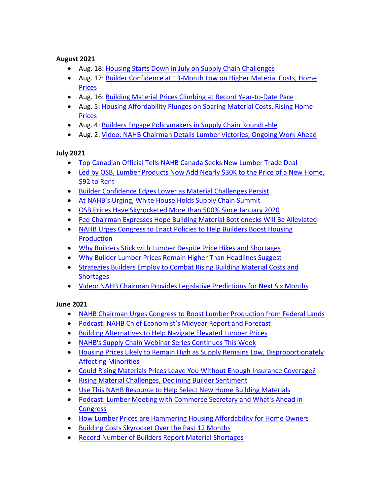#### **August 2021**

- Aug. 18[: Housing Starts Down in July on Supply Chain Challenges](https://nahbnow.com/2021/08/housing-starts-down-in-july-on-supply-chain-challenges/)
- Aug. 17[: Builder Confidence at 13-Month Low on Higher Material Costs, Home](https://nahbnow.com/2021/08/builder-confidence-at-13-month-low-on-higher-material-costs-home-prices/)  [Prices](https://nahbnow.com/2021/08/builder-confidence-at-13-month-low-on-higher-material-costs-home-prices/)
- Aug. 16[: Building Material Prices Climbing at Record Year-to-Date Pace](https://nahbnow.com/2021/08/building-material-prices-climbing-at-record-year-to-date-pace/)
- Aug. 5: Housing Affordability Plunges on Soaring Material Costs, Rising Home [Prices](https://nahbnow.com/2021/08/housing-affordability-plunges-on-soaring-material-costs-rising-home-prices/)
- Aug. 4[: Builders Engage Policymakers in Supply Chain Roundtable](https://nahbnow.com/2021/08/builders-engage-policymakers-in-supply-chain-roundtable/)
- Aug. 2[: Video: NAHB Chairman Details Lumber Victories, Ongoing Work Ahead](https://nahbnow.com/2021/08/video-nahb-chairman-details-lumber-victories-ongoing-work-ahead/)

# **July 2021**

- [Top Canadian Official Tells NAHB Canada Seeks New Lumber Trade Deal](https://nahbnow.com/2021/07/top-canadian-official-tells-nahb-canada-seeks-new-lumber-trade-deal/)
- Led by OSB, Lumber Products Now Add Nearly \$30K to the Price of a New Home, [\\$92 to Rent](https://nahbnow.com/2021/07/led-by-osb-lumber-products-now-add-nearly-30k-to-the-price-of-a-new-home-92-to-rent/)
- [Builder Confidence Edges Lower as Material Challenges Persist](https://nahbnow.com/2021/07/builder-confidence-edges-lower-as-material-challenges-persist/)
- [At NAHB's Urging, White House Holds Supply Chain Summit](https://nahbnow.com/2021/07/at-nahbs-urging-white-house-holds-supply-chain-summit/)
- [OSB Prices Have Skyrocketed More than 500% Since January 2020](https://nahbnow.com/2021/07/osb-prices-have-skyrocketed-more-than-500-since-january-2020/)
- [Fed Chairman Expresses Hope Building Material Bottlenecks Will Be Alleviated](https://nahbnow.com/2021/07/fed-chairman-expresses-hope-building-material-bottlenecks-will-be-alleviated/)
- [NAHB Urges Congress to Enact Policies to Help Builders Boost Housing](https://nahbnow.com/2021/07/nahb-urges-congress-to-enact-policies-to-help-builders-boost-housing-production/)  **[Production](https://nahbnow.com/2021/07/nahb-urges-congress-to-enact-policies-to-help-builders-boost-housing-production/)**
- [Why Builders Stick with Lumber Despite Price Hikes and Shortages](https://nahbnow.com/2021/07/why-builders-stick-with-lumber-despite-price-hikes-and-shortages/)
- [Why Builder Lumber Prices Remain Higher Than Headlines Suggest](https://nahbnow.com/2021/07/why-builder-lumber-prices-remain-higher-than-headlines-suggest/)
- [Strategies Builders Employ to Combat Rising Building Material Costs and](https://nahbnow.com/2021/07/strategies-builders-employ-to-combat-rising-building-material-costs-and-shortages/)  **[Shortages](https://nahbnow.com/2021/07/strategies-builders-employ-to-combat-rising-building-material-costs-and-shortages/)**
- [Video: NAHB Chairman Provides Legislative Predictions for Next Six Months](https://nahbnow.com/2021/07/video-nahb-chairman-provides-legislative-predictions-for-next-six-months/)

# **June 2021**

- [NAHB Chairman Urges Congress to Boost Lumber Production from Federal Lands](https://nahbnow.com/2021/06/nahb-chairman-urges-congress-to-boost-lumber-production-from-federal-lands/)
- [Podcast: NAHB Chief Economist's Midyear Report and Forecast](https://nahbnow.com/2021/06/podcast-nahb-chief-economists-midyear-report-and-forecast/)
- [Building Alternatives to Help Navigate Elevated Lumber Prices](https://nahbnow.com/2021/06/building-alternatives-to-help-navigate-elevated-lumber-prices/)
- [NAHB's Supply Chain Webinar Series Continues This Week](https://nahbnow.com/2021/06/nahbs-supply-chain-webinar-series-continues-this-week/)
- [Housing Prices Likely to Remain High as Supply Remains Low, Disproportionately](https://nahbnow.com/2021/06/housing-prices-likely-to-remain-high-as-supply-remains-low-disproportionately-affecting-minorities/)  [Affecting Minorities](https://nahbnow.com/2021/06/housing-prices-likely-to-remain-high-as-supply-remains-low-disproportionately-affecting-minorities/)
- [Could Rising Materials Prices Leave You Without Enough Insurance Coverage?](https://nahbnow.com/2021/06/could-rising-materials-prices-leave-you-without-enough-insurance-coverage/)
- [Rising Material Challenges, Declining Builder Sentiment](https://nahbnow.com/2021/06/rising-material-challenges-declining-builder-sentiment/)
- [Use This NAHB Resource to Help Select New Home Building Materials](https://nahbnow.com/2021/06/use-this-nahb-resource-to-help-select-new-home-building-materials/)
- [Podcast: Lumber Meeting with Commerce Secretary and What's Ahead in](https://nahbnow.com/2021/06/podcast-lumber-meeting-with-commerce-secretary-and-whats-ahead-in-congress/)  **[Congress](https://nahbnow.com/2021/06/podcast-lumber-meeting-with-commerce-secretary-and-whats-ahead-in-congress/)**
- [How Lumber Prices are Hammering Housing Affordability for Home Owners](https://nahbnow.com/2021/06/how-lumber-prices-are-hammering-housing-affordability-for-home-owners/)
- [Building Costs Skyrocket Over the Past 12 Months](https://nahbnow.com/2021/06/building-costs-skyrocket-over-the-past-12-months/)
- [Record Number of Builders Report Material Shortages](https://nahbnow.com/2021/06/record-number-of-builders-report-material-shortages/)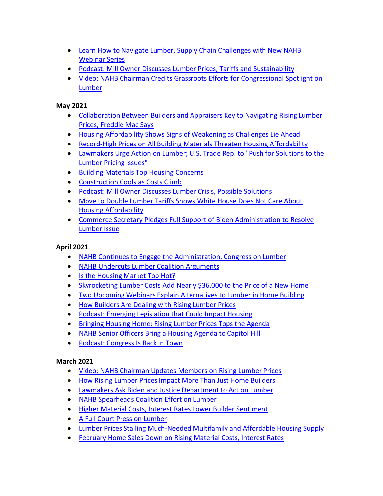- [Learn How to Navigate Lumber, Supply Chain Challenges with New NAHB](https://nahbnow.com/2021/06/learn-how-to-navigate-lumber-supply-chain-challenges-with-new-nahb-webinar-series/)  [Webinar Series](https://nahbnow.com/2021/06/learn-how-to-navigate-lumber-supply-chain-challenges-with-new-nahb-webinar-series/)
- [Podcast: Mill Owner Discusses Lumber Prices, Tariffs and Sustainability](https://nahbnow.com/2021/06/podcast-mill-owner-discusses-lumber-prices-tariffs-and-sustainability/)
- [Video: NAHB Chairman Credits Grassroots Efforts for Congressional Spotlight on](https://nahbnow.com/2021/06/video-nahb-chairman-credits-grassroots-efforts-for-congressional-spotlight-on-lumber/)  **[Lumber](https://nahbnow.com/2021/06/video-nahb-chairman-credits-grassroots-efforts-for-congressional-spotlight-on-lumber/)**

# **May 2021**

- Collaboration Between Builders and Appraisers Key to Navigating Rising Lumber [Prices, Freddie Mac Says](https://nahbnow.com/2021/05/collaboration-between-builders-and-appraisers-key-to-navigating-rising-lumber-prices-freddie-mac-says/)
- [Housing Affordability Shows Signs of Weakening as Challenges Lie Ahead](https://nahbnow.com/2021/05/housing-affordability-shows-signs-of-weakening-as-challenges-lie-ahead/)
- [Record-High Prices on All Building Materials Threaten Housing Affordability](https://nahbnow.com/2021/05/record-high-prices-on-all-building-materials-threaten-housing-affordability/)
- [Lawmakers Urge Action on Lumber; U.S. Trade Rep. to "Push for Solutions to the](https://nahbnow.com/2021/05/lawmakers-urge-action-on-lumber-u-s-trade-rep-to-push-for-solutions-to-the-lumber-pricing-issues/)  [Lumber Pricing Issues"](https://nahbnow.com/2021/05/lawmakers-urge-action-on-lumber-u-s-trade-rep-to-push-for-solutions-to-the-lumber-pricing-issues/)
- [Building Materials Top Housing Concerns](https://nahbnow.com/2021/05/building-materials-top-housing-concerns/)
- [Construction Cools as Costs Climb](https://nahbnow.com/2021/05/construction-cools-as-costs-climb/)
- [Podcast: Mill Owner Discusses Lumber Crisis, Possible Solutions](https://nahbnow.com/2021/05/podcast-mill-owner-discusses-lumber-crisis-possible-solutions/)
- Move to Double Lumber Tariffs Shows White House Does Not Care About [Housing Affordability](https://nahbnow.com/2021/05/move-to-double-lumber-tariffs-shows-white-house-does-not-care-about-housing-affordability/)
- [Commerce Secretary Pledges Full Support of Biden Administration to Resolve](https://nahbnow.com/2021/05/commerce-secretary-pledges-full-support-of-biden-administration-to-resolve-lumber-issue/)  [Lumber Issue](https://nahbnow.com/2021/05/commerce-secretary-pledges-full-support-of-biden-administration-to-resolve-lumber-issue/)

# **April 2021**

- [NAHB Continues to Engage the Administration, Congress on Lumber](https://nahbnow.com/2021/04/nahb-continues-to-engage-the-administration-congress-on-lumber/)
- [NAHB Undercuts Lumber Coalition Arguments](https://nahbnow.com/2021/04/nahb-undercuts-lumber-coalition-arguments/)
- [Is the Housing Market Too Hot?](https://nahbnow.com/2021/04/is-the-housing-market-too-hot/)
- [Skyrocketing Lumber Costs Add Nearly \\$36,000 to the Price of a New Home](https://nahbnow.com/2021/04/skyrocketing-lumber-prices-add-nearly-36000-to-the-price-of-a-new-home/)
- [Two Upcoming Webinars Explain Alternatives to Lumber in Home Building](https://nahbnow.com/2021/04/two-upcoming-webinars-explore-alternatives-to-lumber-in-home-building/)
- [How Builders Are Dealing with Rising Lumber Prices](https://nahbnow.com/2021/04/how-builders-are-dealing-with-rising-lumber-prices/)
- [Podcast: Emerging Legislation that Could Impact Housing](https://nahbnow.com/2021/04/podcast-emerging-legislation-that-could-impact-housing/)
- [Bringing Housing Home: Rising Lumber Prices Tops the Agenda](https://nahbnow.com/2021/04/bringing-housing-home-rising-lumber-prices-tops-the-agenda/)
- [NAHB Senior Officers Bring a Housing Agenda to Capitol Hill](https://nahbnow.com/2021/04/nahb-senior-officers-bring-a-housing-agenda-to-capitol-hill/)
- [Podcast: Congress Is Back in Town](https://nahbnow.com/2021/04/podcast-congress-is-back-in-town/)

# **March 2021**

- Video: NAHB [Chairman](https://nahbnow.com/2021/03/video-nahb-chairman-updates-members-on-rising-lumber-prices/) Updates Members on Rising Lumber Prices
- How Rising Lumber Prices Impact More Than Just Home [Builders](https://nahbnow.com/2021/03/how-rising-lumber-prices-impact-more-than-just-home-builders/)
- [Lawmakers Ask Biden and Justice Department to Act on Lumber](https://nahbnow.com/2021/03/at-nahbs-urging-lawmakers-ask-biden-to-act-on-lumber/)
- [NAHB Spearheads Coalition Effort on Lumber](https://nahbnow.com/2021/03/nahb-spearheads-coalition-effort-on-lumber/)
- [Higher Material Costs, Interest Rates Lower Builder Sentiment](https://nahbnow.com/2021/03/higher-interest-rates-material-costs-lower-builder-sentiment/)
- [A Full Court Press on Lumber](https://nahbnow.com/2021/03/a-full-court-press-on-lumber/)
- [Lumber Prices Stalling Much-Needed Multifamily and Affordable Housing Supply](https://nahbnow.com/2021/03/lumber-prices-stalling-much-needed-multifamily-and-affordable-housing-supply/)
- [February Home Sales Down on Rising Material Costs, Interest](https://nahbnow.com/2021/03/february-home-sales-down-on-rising-material-costs-interest-rates/) Rates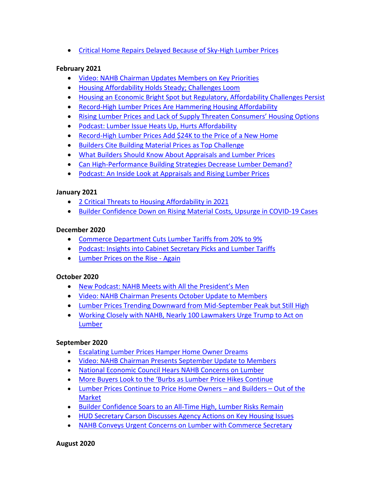• [Critical Home Repairs Delayed Because of Sky-High Lumber Prices](https://nahbnow.com/2021/03/critical-home-repairs-delayed-because-of-sky-high-lumber-prices/)

# **February 2021**

- [Video: NAHB Chairman Updates Members on Key Priorities](https://nahbnow.com/2021/02/video-nahb-chairman-updates-members-on-key-priorities-2/)
- [Housing Affordability Holds Steady; Challenges Loom](https://nahbnow.com/2021/02/housing-affordability-holds-steady-challenges-loom/)
- [Housing an Economic Bright Spot but Regulatory, Affordability Challenges Persist](https://nahbnow.com/2021/02/housing-an-economic-bright-spot-but-regulatory-affordability-challenges-persist/)
- [Record-High Lumber Prices Are Hammering Housing Affordability](https://nahbnow.com/2021/02/record-high-lumber-prices-are-hammering-housing-affordability/)
- Rising Lumber Prices and Lack [of Supply Threaten Consumers' Housing Options](https://nahbnow.com/2021/02/rising-lumber-prices-and-lack-of-supply-threaten-consumers-housing-options/)
- [Podcast: Lumber Issue Heats Up, Hurts Affordability](https://nahbnow.com/2021/02/podcast-lumber-issue-heats-up-hurts-affordability/)
- [Record-High Lumber Prices Add \\$24K to the Price of a New Home](https://nahbnow.com/2021/02/record-high-lumber-prices-add-24k-to-the-price-of-a-new-home/)
- [Builders Cite Building Material Prices as Top Challenge](https://nahbnow.com/2021/02/builders-cite-building-material-prices-as-top-challenge/)
- [What Builders Should Know About Appraisals and Lumber Prices](https://nahbnow.com/2021/02/how-to-get-your-new-home-appraisal-to-reflect-your-actual-costs/)
- [Can High-Performance Building Strategies Decrease Lumber Demand?](https://nahbnow.com/2021/02/can-high-performance-building-strategies-decrease-lumber-demand/)
- [Podcast: An Inside Look at Appraisals and Rising Lumber Prices](https://nahbnow.com/2021/02/podcast-an-inside-look-at-appraisals-and-rising-lumber-prices/)

# **January 2021**

- [2 Critical Threats to Housing Affordability in 2021](https://nahbnow.com/2021/01/2-critical-threats-to-housing-affordability-in-2021/)
- [Builder Confidence Down on Rising Material Costs, Upsurge in COVID-19 Cases](https://nahbnow.com/2021/01/builder-confidence-down-on-rising-material-prices-upsurge-in-covid-19-cases/)

# **December 2020**

- [Commerce Department Cuts Lumber Tariffs from 20% to 9%](https://nahbnow.com/2020/12/commerce-department-cuts-lumber-tariffs-from-20-to-9/)
- [Podcast: Insights into Cabinet Secretary Picks and Lumber Tariffs](https://nahbnow.com/2020/12/podcast-insights-into-cabinet-secretary-picks-and-lumber-tariffs/)
- [Lumber Prices on the Rise -](https://nahbnow.com/2020/12/lumber-prices-on-the-rise-again/) Again

# **October 2020**

- [New Podcast: NAHB Meets with All the President's Men](https://nahbnow.com/2020/10/new-podcast-nahb-meets-with-all-the-presidents-men/)
- [Video: NAHB Chairman Presents October Update to Members](https://nahbnow.com/2020/10/video-nahb-chairman-presents-october-update-to-members/)
- [Lumber Prices Trending Downward from Mid-September Peak but Still High](https://nahbnow.com/2020/10/lumber-prices-trending-downward-from-mid-september-peak-but-still-high/)
- [Working Closely with NAHB, Nearly 100 Lawmakers Urge Trump to Act on](https://nahbnow.com/2020/10/working-closely-with-nahb-nearly-100-lawmakers-urge-trump-to-act-on-lumber/)  [Lumber](https://nahbnow.com/2020/10/working-closely-with-nahb-nearly-100-lawmakers-urge-trump-to-act-on-lumber/)

# **September 2020**

- [Escalating Lumber Prices Hamper Home Owner Dreams](https://nahbnow.com/2020/09/escalating-lumber-prices-hamper-home-owner-dreams/)
- [Video: NAHB Chairman Presents September Update to Members](https://nahbnow.com/2020/09/video-nahb-chairman-presents-september-update-to-members/)
- [National Economic Council Hears NAHB Concerns on Lumber](https://nahbnow.com/2020/09/national-economic-council-hears-nahb-concerns-on-lumber/)
- [More Buyers Look to the 'Burbs as Lumber Price Hikes Continue](https://nahbnow.com/2020/09/more-buyers-look-to-the-burbs-as-lumber-price-hikes-continue/)
- [Lumber Prices Continue to Price Home Owners –](https://nahbnow.com/2020/09/lumber-prices-continue-to-price-home-owners-and-builders-out-of-the-market/) and Builders Out of the [Market](https://nahbnow.com/2020/09/lumber-prices-continue-to-price-home-owners-and-builders-out-of-the-market/)
- [Builder Confidence Soars to an All-Time High, Lumber Risks Remain](https://nahbnow.com/2020/09/builder-confidence-soars-to-an-all-time-high-lumber-risks-remain/)
- HUD Secretary Carson [Discusses Agency Actions on Key Housing Issues](https://nahbnow.com/2020/09/hud-secretary-carson-discusses-agency-actions-on-key-housing-issues/)
- [NAHB Conveys Urgent Concerns on Lumber with Commerce Secretary](https://nahbnow.com/2020/09/nahb-conveys-urgent-concerns-on-lumber-with-commerce-secretary/)

**August 2020**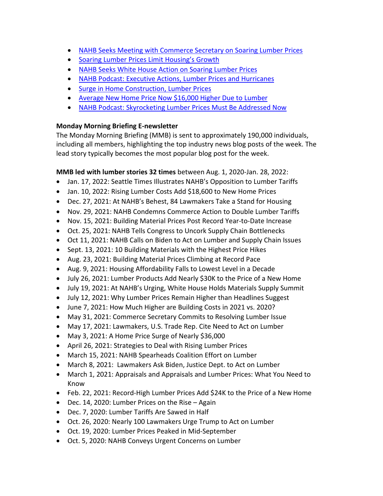- [NAHB Seeks Meeting with Commerce Secretary on Soaring Lumber Prices](https://nahbnow.com/2020/08/nahb-seeks-meeting-with-commerce-secretary-on-soaring-lumber-prices/)
- [Soaring Lumber Prices Limit Housing's Growth](https://nahbnow.com/2020/08/soaring-lumber-prices-limit-housings-growth/)
- [NAHB Seeks White House Action on Soaring Lumber Prices](https://nahbnow.com/2020/08/nahb-seeks-white-house-action-on-soaring-lumber-prices/)
- [NAHB Podcast: Executive Actions, Lumber Prices and Hurricanes](https://nahbnow.com/2020/08/nahb-podcast-executive-actions-lumber-prices-and-hurricanes/)
- [Surge in Home Construction, Lumber Prices](https://nahbnow.com/2020/08/surge-in-home-construction-lumber-prices/)
- [Average New Home Price Now \\$16,000 Higher Due to Lumber](https://nahbnow.com/2020/08/average-new-home-price-now-16000-higher-due-to-lumber/)
- [NAHB Podcast: Skyrocketing Lumber Prices Must Be Addressed Now](https://nahbnow.com/2020/08/nahb-podcast-skyrocketing-lumber-prices-must-be-addressed-now/)

# **Monday Morning Briefing E-newsletter**

The Monday Morning Briefing (MMB) is sent to approximately 190,000 individuals, including all members, highlighting the top industry news blog posts of the week. The lead story typically becomes the most popular blog post for the week.

# **MMB led with lumber stories 32 times** between Aug. 1, 2020-Jan. 28, 2022:

- Jan. 17, 2022: Seattle Times Illustrates NAHB's Opposition to Lumber Tariffs
- Jan. 10, 2022: Rising Lumber Costs Add \$18,600 to New Home Prices
- Dec. 27, 2021: At NAHB's Behest, 84 Lawmakers Take a Stand for Housing
- Nov. 29, 2021: NAHB Condemns Commerce Action to Double Lumber Tariffs
- Nov. 15, 2021: Building Material Prices Post Record Year-to-Date Increase
- Oct. 25, 2021: NAHB Tells Congress to Uncork Supply Chain Bottlenecks
- Oct 11, 2021: NAHB Calls on Biden to Act on Lumber and Supply Chain Issues
- Sept. 13, 2021: 10 Building Materials with the Highest Price Hikes
- Aug. 23, 2021: Building Material Prices Climbing at Record Pace
- Aug. 9, 2021: Housing Affordability Falls to Lowest Level in a Decade
- July 26, 2021: Lumber Products Add Nearly \$30K to the Price of a New Home
- July 19, 2021: At NAHB's Urging, White House Holds Materials Supply Summit
- July 12, 2021: Why Lumber Prices Remain Higher than Headlines Suggest
- June 7, 2021: How Much Higher are Building Costs in 2021 vs. 2020?
- May 31, 2021: Commerce Secretary Commits to Resolving Lumber Issue
- May 17, 2021: Lawmakers, U.S. Trade Rep. Cite Need to Act on Lumber
- May 3, 2021: A Home Price Surge of Nearly \$36,000
- April 26, 2021: Strategies to Deal with Rising Lumber Prices
- March 15, 2021: NAHB Spearheads Coalition Effort on Lumber
- March 8, 2021: Lawmakers Ask Biden, Justice Dept. to Act on Lumber
- March 1, 2021: Appraisals and Appraisals and Lumber Prices: What You Need to Know
- Feb. 22, 2021: Record-High Lumber Prices Add \$24K to the Price of a New Home
- Dec. 14, 2020: Lumber Prices on the Rise Again
- Dec. 7, 2020: Lumber Tariffs Are Sawed in Half
- Oct. 26, 2020: Nearly 100 Lawmakers Urge Trump to Act on Lumber
- Oct. 19, 2020: Lumber Prices Peaked in Mid-September
- Oct. 5, 2020: NAHB Conveys Urgent Concerns on Lumber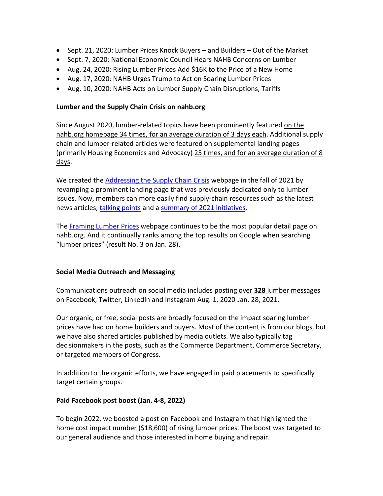- Sept. 21, 2020: Lumber Prices Knock Buyers and Builders Out of the Market
- Sept. 7, 2020: National Economic Council Hears NAHB Concerns on Lumber
- Aug. 24, 2020: Rising Lumber Prices Add \$16K to the Price of a New Home
- Aug. 17, 2020: NAHB Urges Trump to Act on Soaring Lumber Prices
- Aug. 10, 2020: NAHB Acts on Lumber Supply Chain Disruptions, Tariffs

#### **Lumber and the Supply Chain Crisis on nahb.org**

Since August 2020, lumber-related topics have been prominently featured on the nahb.org homepage 34 times, for an average duration of 3 days each. Additional supply chain and lumber-related articles were featured on supplemental landing pages (primarily Housing Economics and Advocacy) 25 times, and for an average duration of 8 days.

We created the [Addressing the Supply Chain Crisis](https://www.nahb.org/advocacy/top-priorities/material-costs/addressing-the-supply-chain-crisis) webpage in the fall of 2021 by revamping a prominent landing page that was previously dedicated only to lumber issues. Now, members can more easily find supply-chain resources such as the latest news articles, [talking points](https://www.nahb.org/advocacy/top-priorities/material-costs/talking-points) and a [summary of 2021 initiatives.](https://www.nahb.org/advocacy/top-priorities/material-costs/challenges-we-faced-in-2021-building-materials)

The [Framing Lumber Prices](https://www.nahb.org/news-and-economics/housing-economics/national-statistics/framing-lumber-prices) webpage continues to be the most popular detail page on nahb.org. And it continually ranks among the top results on Google when searching "lumber prices" (result No. 3 on Jan. 28).

# **Social Media Outreach and Messaging**

Communications outreach on social media includes posting over **328** lumber messages on Facebook, Twitter, LinkedIn and Instagram Aug. 1, 2020-Jan. 28, 2021.

Our organic, or free, social posts are broadly focused on the impact soaring lumber prices have had on home builders and buyers. Most of the content is from our blogs, but we have also shared articles published by media outlets. We also typically tag decisionmakers in the posts, such as the Commerce Department, Commerce Secretary, or targeted members of Congress.

In addition to the organic efforts, we have engaged in paid placements to specifically target certain groups.

# **Paid Facebook post boost (Jan. 4-8, 2022)**

To begin 2022, we boosted a post on Facebook and Instagram that highlighted the home cost impact number (\$18,600) of rising lumber prices. The boost was targeted to our general audience and those interested in home buying and repair.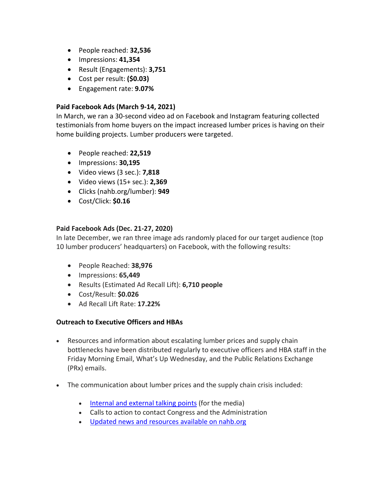- People reached: **32,536**
- Impressions: **41,354**
- Result (Engagements): **3,751**
- Cost per result: **(\$0.03)**
- Engagement rate: **9.07%**

### **Paid Facebook Ads (March 9-14, 2021)**

In March, we ran a 30-second video ad on Facebook and Instagram featuring collected testimonials from home buyers on the impact increased lumber prices is having on their home building projects. Lumber producers were targeted.

- People reached: **22,519**
- Impressions: **30,195**
- Video views (3 sec.): **7,818**
- Video views (15+ sec.): **2,369**
- Clicks (nahb.org/lumber): **949**
- Cost/Click: **\$0.16**

# **Paid Facebook Ads (Dec. 21-27, 2020)**

In late December, we ran three image ads randomly placed for our target audience (top 10 lumber producers' headquarters) on Facebook, with the following results:

- People Reached: **38,976**
- Impressions: **65,449**
- Results (Estimated Ad Recall Lift): **6,710 people**
- Cost/Result: **\$0.026**
- Ad Recall Lift Rate: **17.22%**

# **Outreach to Executive Officers and HBAs**

- Resources and information about escalating lumber prices and supply chain bottlenecks have been distributed regularly to executive officers and HBA staff in the Friday Morning Email, What's Up Wednesday, and the Public Relations Exchange (PRx) emails.
- The communication about lumber prices and the supply chain crisis included:
	- [Internal and external talking points](https://www.nahb.org/nahb-community/hbas/communications-pages/nahb-monthly-update) (for the media)
	- Calls to action to contact Congress and the Administration
	- [Updated news and resources available on nahb.org](https://www.nahb.org/advocacy/top-priorities/material-costs/addressing-the-supply-chain-crisis)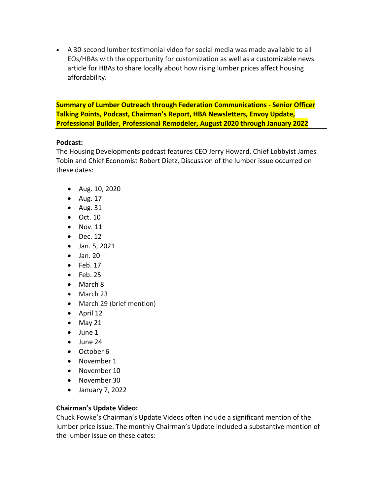• A 30-second lumber testimonial video for social media was made available to all EOs/HBAs with the opportunity for customization as well as a customizable news article for HBAs to share locally about how rising lumber prices affect housing affordability.

**Summary of Lumber Outreach through Federation Communications - Senior Officer Talking Points, Podcast, Chairman's Report, HBA Newsletters, Envoy Update, Professional Builder, Professional Remodeler, August 2020 through January 2022**

#### **Podcast:**

The Housing Developments podcast features CEO Jerry Howard, Chief Lobbyist James Tobin and Chief Economist Robert Dietz, Discussion of the lumber issue occurred on these dates:

- Aug. 10, 2020
- Aug. 17
- Aug. 31
- Oct. 10
- Nov. 11
- Dec. 12
- Jan. 5, 2021
- Jan. 20
- $\bullet$  Feb. 17
- $\bullet$  Feb. 25
- March 8
- March 23
- March 29 (brief mention)
- April 12
- $\bullet$  May 21
- June 1
- June 24
- October 6
- November 1
- November 10
- November 30
- January 7, 2022

# **Chairman's Update Video:**

Chuck Fowke's Chairman's Update Videos often include a significant mention of the lumber price issue. The monthly Chairman's Update included a substantive mention of the lumber issue on these dates: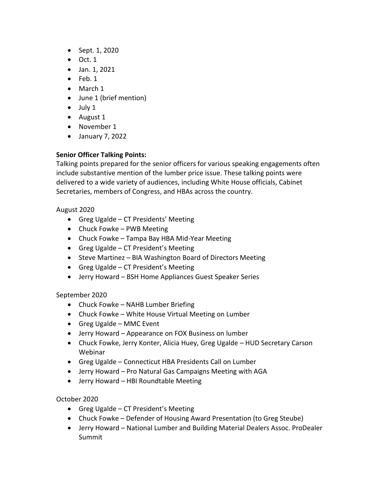- Sept. 1, 2020
- $\bullet$  Oct. 1
- Jan. 1, 2021
- Feb. 1
- March 1
- June 1 (brief mention)
- July 1
- August 1
- November 1
- January 7, 2022

# **Senior Officer Talking Points:**

Talking points prepared for the senior officers for various speaking engagements often include substantive mention of the lumber price issue. These talking points were delivered to a wide variety of audiences, including White House officials, Cabinet Secretaries, members of Congress, and HBAs across the country.

#### August 2020

- Greg Ugalde CT Presidents' Meeting
- Chuck Fowke PWB Meeting
- Chuck Fowke Tampa Bay HBA Mid-Year Meeting
- Greg Ugalde CT President's Meeting
- Steve Martinez BIA Washington Board of Directors Meeting
- Greg Ugalde CT President's Meeting
- Jerry Howard BSH Home Appliances Guest Speaker Series

# September 2020

- Chuck Fowke NAHB Lumber Briefing
- Chuck Fowke White House Virtual Meeting on Lumber
- Greg Ugalde MMC Event
- Jerry Howard Appearance on FOX Business on lumber
- Chuck Fowke, Jerry Konter, Alicia Huey, Greg Ugalde HUD Secretary Carson Webinar
- Greg Ugalde Connecticut HBA Presidents Call on Lumber
- Jerry Howard Pro Natural Gas Campaigns Meeting with AGA
- Jerry Howard HBI Roundtable Meeting

# October 2020

- Greg Ugalde CT President's Meeting
- Chuck Fowke Defender of Housing Award Presentation (to Greg Steube)
- Jerry Howard National Lumber and Building Material Dealers Assoc. ProDealer Summit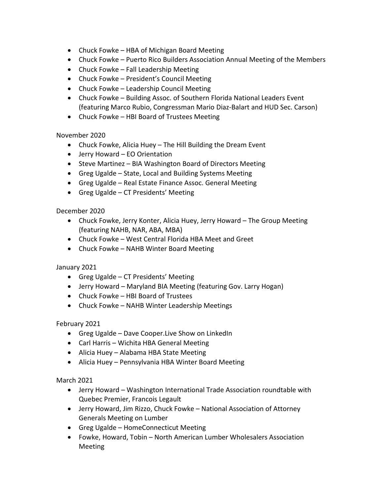- Chuck Fowke HBA of Michigan Board Meeting
- Chuck Fowke Puerto Rico Builders Association Annual Meeting of the Members
- Chuck Fowke Fall Leadership Meeting
- Chuck Fowke President's Council Meeting
- Chuck Fowke Leadership Council Meeting
- Chuck Fowke Building Assoc. of Southern Florida National Leaders Event (featuring Marco Rubio, Congressman Mario Diaz-Balart and HUD Sec. Carson)
- Chuck Fowke HBI Board of Trustees Meeting

#### November 2020

- Chuck Fowke, Alicia Huey The Hill Building the Dream Event
- Jerry Howard EO Orientation
- Steve Martinez BIA Washington Board of Directors Meeting
- Greg Ugalde State, Local and Building Systems Meeting
- Greg Ugalde Real Estate Finance Assoc. General Meeting
- Greg Ugalde CT Presidents' Meeting

#### December 2020

- Chuck Fowke, Jerry Konter, Alicia Huey, Jerry Howard The Group Meeting (featuring NAHB, NAR, ABA, MBA)
- Chuck Fowke West Central Florida HBA Meet and Greet
- Chuck Fowke NAHB Winter Board Meeting

# January 2021

- Greg Ugalde CT Presidents' Meeting
- Jerry Howard Maryland BIA Meeting (featuring Gov. Larry Hogan)
- Chuck Fowke HBI Board of Trustees
- Chuck Fowke NAHB Winter Leadership Meetings

# February 2021

- Greg Ugalde Dave Cooper.Live Show on LinkedIn
- Carl Harris Wichita HBA General Meeting
- Alicia Huey Alabama HBA State Meeting
- Alicia Huey Pennsylvania HBA Winter Board Meeting

# March 2021

- Jerry Howard Washington International Trade Association roundtable with Quebec Premier, Francois Legault
- Jerry Howard, Jim Rizzo, Chuck Fowke National Association of Attorney Generals Meeting on Lumber
- Greg Ugalde HomeConnecticut Meeting
- Fowke, Howard, Tobin North American Lumber Wholesalers Association Meeting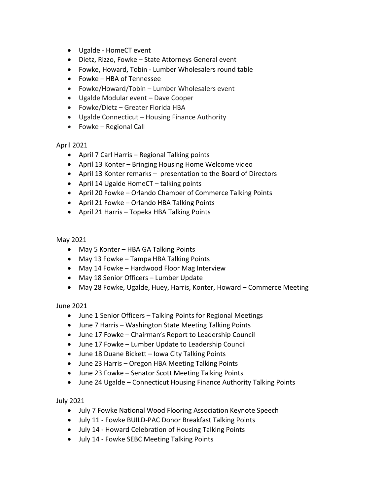- Ugalde HomeCT event
- Dietz, Rizzo, Fowke State Attorneys General event
- Fowke, Howard, Tobin Lumber Wholesalers round table
- Fowke HBA of Tennessee
- Fowke/Howard/Tobin Lumber Wholesalers event
- Ugalde Modular event Dave Cooper
- Fowke/Dietz Greater Florida HBA
- Ugalde Connecticut Housing Finance Authority
- Fowke Regional Call

#### April 2021

- April 7 Carl Harris Regional Talking points
- April 13 Konter Bringing Housing Home Welcome video
- April 13 Konter remarks presentation to the Board of Directors
- April 14 Ugalde HomeCT talking points
- April 20 Fowke Orlando Chamber of Commerce Talking Points
- April 21 Fowke Orlando HBA Talking Points
- April 21 Harris Topeka HBA Talking Points

#### May 2021

- May 5 Konter HBA GA Talking Points
- May 13 Fowke Tampa HBA Talking Points
- May 14 Fowke Hardwood Floor Mag Interview
- May 18 Senior Officers Lumber Update
- May 28 Fowke, Ugalde, Huey, Harris, Konter, Howard Commerce Meeting

#### June 2021

- June 1 Senior Officers Talking Points for Regional Meetings
- June 7 Harris Washington State Meeting Talking Points
- June 17 Fowke Chairman's Report to Leadership Council
- June 17 Fowke Lumber Update to Leadership Council
- June 18 Duane Bickett Iowa City Talking Points
- June 23 Harris Oregon HBA Meeting Talking Points
- June 23 Fowke Senator Scott Meeting Talking Points
- June 24 Ugalde Connecticut Housing Finance Authority Talking Points

#### July 2021

- July 7 Fowke National Wood Flooring Association Keynote Speech
- July 11 Fowke BUILD-PAC Donor Breakfast Talking Points
- July 14 Howard Celebration of Housing Talking Points
- July 14 Fowke SEBC Meeting Talking Points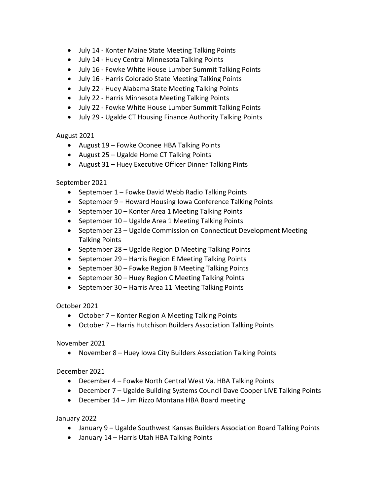- July 14 Konter Maine State Meeting Talking Points
- July 14 Huey Central Minnesota Talking Points
- July 16 Fowke White House Lumber Summit Talking Points
- July 16 Harris Colorado State Meeting Talking Points
- July 22 Huey Alabama State Meeting Talking Points
- July 22 Harris Minnesota Meeting Talking Points
- July 22 Fowke White House Lumber Summit Talking Points
- July 29 Ugalde CT Housing Finance Authority Talking Points

August 2021

- August 19 Fowke Oconee HBA Talking Points
- August 25 Ugalde Home CT Talking Points
- August 31 Huey Executive Officer Dinner Talking Pints

September 2021

- September 1 Fowke David Webb Radio Talking Points
- September 9 Howard Housing Iowa Conference Talking Points
- September 10 Konter Area 1 Meeting Talking Points
- September 10 Ugalde Area 1 Meeting Talking Points
- September 23 Ugalde Commission on Connecticut Development Meeting Talking Points
- September 28 Ugalde Region D Meeting Talking Points
- September 29 Harris Region E Meeting Talking Points
- September 30 Fowke Region B Meeting Talking Points
- September 30 Huey Region C Meeting Talking Points
- September 30 Harris Area 11 Meeting Talking Points

October 2021

- October 7 Konter Region A Meeting Talking Points
- October 7 Harris Hutchison Builders Association Talking Points

November 2021

• November 8 – Huey Iowa City Builders Association Talking Points

December 2021

- December 4 Fowke North Central West Va. HBA Talking Points
- December 7 Ugalde Building Systems Council Dave Cooper LIVE Talking Points
- December 14 Jim Rizzo Montana HBA Board meeting

January 2022

- January 9 Ugalde Southwest Kansas Builders Association Board Talking Points
- January 14 Harris Utah HBA Talking Points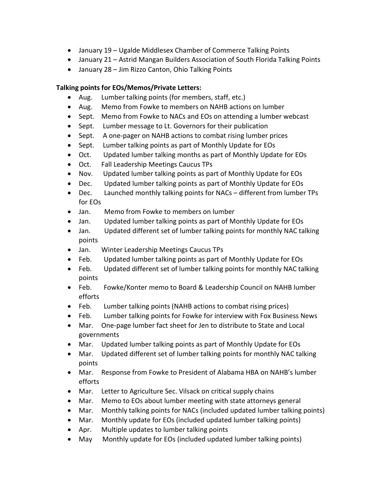- January 19 Ugalde Middlesex Chamber of Commerce Talking Points
- January 21 Astrid Mangan Builders Association of South Florida Talking Points
- January 28 Jim Rizzo Canton, Ohio Talking Points

# **Talking points for EOs/Memos/Private Letters:**

- Aug. Lumber talking points (for members, staff, etc.)
- Aug. Memo from Fowke to members on NAHB actions on lumber
- Sept. Memo from Fowke to NACs and EOs on attending a lumber webcast
- Sept. Lumber message to Lt. Governors for their publication
- Sept. A one-pager on NAHB actions to combat rising lumber prices
- Sept. Lumber talking points as part of Monthly Update for EOs
- Oct. Updated lumber talking months as part of Monthly Update for EOs
- Oct. Fall Leadership Meetings Caucus TPs
- Nov. Updated lumber talking points as part of Monthly Update for EOs
- Dec. Updated lumber talking points as part of Monthly Update for EOs
- Dec. Launched monthly talking points for NACs different from lumber TPs for EOs
- Jan. Memo from Fowke to members on lumber
- Jan. Updated lumber talking points as part of Monthly Update for EOs
- Jan. Updated different set of lumber talking points for monthly NAC talking points
- Jan. Winter Leadership Meetings Caucus TPs
- Feb. Updated lumber talking points as part of Monthly Update for EOs
- Feb. Updated different set of lumber talking points for monthly NAC talking points
- Feb. Fowke/Konter memo to Board & Leadership Council on NAHB lumber efforts
- Feb. Lumber talking points (NAHB actions to combat rising prices)
- Feb. Lumber talking points for Fowke for interview with Fox Business News
- Mar. One-page lumber fact sheet for Jen to distribute to State and Local governments
- Mar. Updated lumber talking points as part of Monthly Update for EOs
- Mar. Updated different set of lumber talking points for monthly NAC talking points
- Mar. Response from Fowke to President of Alabama HBA on NAHB's lumber efforts
- Mar. Letter to Agriculture Sec. Vilsack on critical supply chains
- Mar. Memo to EOs about lumber meeting with state attorneys general
- Mar. Monthly talking points for NACs (included updated lumber talking points)
- Mar. Monthly update for EOs (included updated lumber talking points)
- Apr. Multiple updates to lumber talking points
- May Monthly update for EOs (included updated lumber talking points)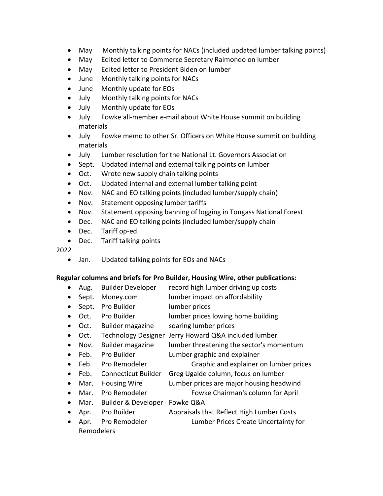- May Monthly talking points for NACs (included updated lumber talking points)
- May Edited letter to Commerce Secretary Raimondo on lumber
- May Edited letter to President Biden on lumber
- June Monthly talking points for NACs
- June Monthly update for EOs
- July Monthly talking points for NACs
- July Monthly update for EOs
- July Fowke all-member e-mail about White House summit on building materials
- July Fowke memo to other Sr. Officers on White House summit on building materials
- July Lumber resolution for the National Lt. Governors Association
- Sept. Updated internal and external talking points on lumber
- Oct. Wrote new supply chain talking points
- Oct. Updated internal and external lumber talking point
- Nov. NAC and EO talking points (included lumber/supply chain)
- Nov. Statement opposing lumber tariffs
- Nov. Statement opposing banning of logging in Tongass National Forest
- Dec. NAC and EO talking points (included lumber/supply chain
- Dec. Tariff op-ed
- Dec. Tariff talking points

2022

• Jan. Updated talking points for EOs and NACs

# **Regular columns and briefs for Pro Builder, Housing Wire, other publications:**

- Aug. Builder Developer record high lumber driving up costs
- Sept. Money.com lumber impact on affordability
- Sept. Pro Builder lumber prices
- Oct. Pro Builder lumber prices lowing home building
- Oct. Builder magazine soaring lumber prices
- Oct. Technology Designer Jerry Howard Q&A included lumber
- Nov. Builder magazine lumber threatening the sector's momentum
- Feb. Pro Builder Lumber graphic and explainer
- Feb. Pro Remodeler Graphic and explainer on lumber prices
- Feb. Connecticut Builder Greg Ugalde column, focus on lumber
- Mar. Housing Wire Lumber prices are major housing headwind
- Mar. Pro Remodeler Fowke Chairman's column for April
- Mar. Builder & Developer Fowke Q&A
- 
- Apr. Pro Builder Appraisals that Reflect High Lumber Costs • Apr. Pro Remodeler Lumber Prices Create Uncertainty for
- Remodelers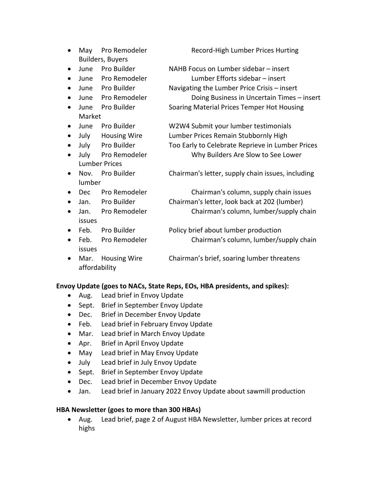|           | May                     | Pro Remodeler        | Record-High Lumber Prices Hurting                 |
|-----------|-------------------------|----------------------|---------------------------------------------------|
|           | <b>Builders, Buyers</b> |                      |                                                   |
| $\bullet$ | June                    | Pro Builder          | NAHB Focus on Lumber sidebar - insert             |
| $\bullet$ | June                    | Pro Remodeler        | Lumber Efforts sidebar – insert                   |
| $\bullet$ | June                    | Pro Builder          | Navigating the Lumber Price Crisis - insert       |
| $\bullet$ | June                    | Pro Remodeler        | Doing Business in Uncertain Times - insert        |
| $\bullet$ | June                    | Pro Builder          | Soaring Material Prices Temper Hot Housing        |
|           | Market                  |                      |                                                   |
| $\bullet$ | June                    | Pro Builder          | W2W4 Submit your lumber testimonials              |
| $\bullet$ | July                    | <b>Housing Wire</b>  | Lumber Prices Remain Stubbornly High              |
| $\bullet$ | July                    | Pro Builder          | Too Early to Celebrate Reprieve in Lumber Prices  |
| $\bullet$ | July                    | Pro Remodeler        | Why Builders Are Slow to See Lower                |
|           |                         | <b>Lumber Prices</b> |                                                   |
| $\bullet$ | Nov.                    | Pro Builder          | Chairman's letter, supply chain issues, including |
|           | lumber                  |                      |                                                   |
| $\bullet$ | <b>Dec</b>              | Pro Remodeler        | Chairman's column, supply chain issues            |
| $\bullet$ | Jan.                    | Pro Builder          | Chairman's letter, look back at 202 (lumber)      |
| $\bullet$ | Jan.                    | Pro Remodeler        | Chairman's column, lumber/supply chain            |
|           | issues                  |                      |                                                   |
| $\bullet$ | Feb.                    | Pro Builder          | Policy brief about lumber production              |
| $\bullet$ | Feb.                    | Pro Remodeler        | Chairman's column, lumber/supply chain            |
|           | issues                  |                      |                                                   |
| $\bullet$ | Mar.                    | <b>Housing Wire</b>  | Chairman's brief, soaring lumber threatens        |
|           | affordability           |                      |                                                   |

#### **Envoy Update (goes to NACs, State Reps, EOs, HBA presidents, and spikes):**

- Aug. Lead brief in Envoy Update
- Sept. Brief in September Envoy Update
- Dec. Brief in December Envoy Update
- Feb. Lead brief in February Envoy Update
- Mar. Lead brief in March Envoy Update
- Apr. Brief in April Envoy Update
- May Lead brief in May Envoy Update
- July Lead brief in July Envoy Update
- Sept. Brief in September Envoy Update
- Dec. Lead brief in December Envoy Update
- Jan. Lead brief in January 2022 Envoy Update about sawmill production

#### **HBA Newsletter (goes to more than 300 HBAs)**

• Aug. Lead brief, page 2 of August HBA Newsletter, lumber prices at record highs